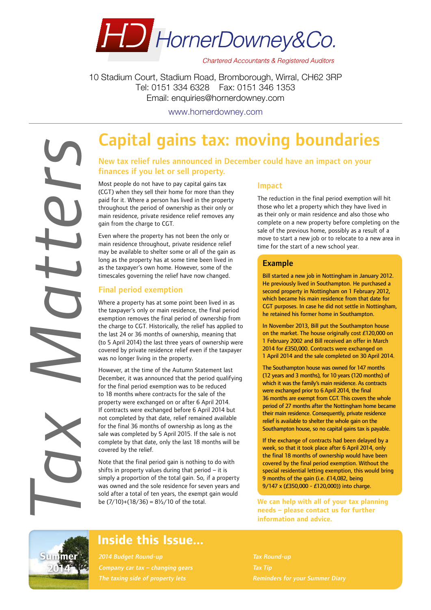

**Chartered Accountants & Registered Auditors** 

10 Stadium Court, Stadium Road, Bromborough, Wirral, CH62 3RP Tel: 0151 334 6328 Fax: 0151 346 1353 Email: enquiries@hornerdowney.com

www.hornerdowney.com

## Capital gains tax: moving boundaries

## New tax relief rules announced in December could have an impact on your finances if you let or sell property.

Most people do not have to pay capital gains tax (CGT) when they sell their home for more than they paid for it. Where a person has lived in the property throughout the period of ownership as their only or main residence, private residence relief removes any gain from the charge to CGT.

Even where the property has not been the only or main residence throughout, private residence relief may be available to shelter some or all of the gain as long as the property has at some time been lived in as the taxpayer's own home. However, some of the timescales governing the relief have now changed.

### Final period exemption

Where a property has at some point been lived in as the taxpayer's only or main residence, the final period exemption removes the final period of ownership from the charge to CGT. Historically, the relief has applied to the last 24 or 36 months of ownership, meaning that (to 5 April 2014) the last three years of ownership were covered by private residence relief even if the taxpayer was no longer living in the property.

However, at the time of the Autumn Statement last December, it was announced that the period qualifying for the final period exemption was to be reduced to 18 months where contracts for the sale of the property were exchanged on or after 6 April 2014. If contracts were exchanged before 6 April 2014 but not completed by that date, relief remained available for the final 36 months of ownership as long as the sale was completed by 5 April 2015. If the sale is not complete by that date, only the last 18 months will be covered by the relief.

Note that the final period gain is nothing to do with shifts in property values during that period – it is simply a proportion of the total gain. So, if a property was owned and the sole residence for seven years and sold after a total of ten years, the exempt gain would be (7/10)+(18/36) = 8½/10 of the total.

#### Impact

The reduction in the final period exemption will hit those who let a property which they have lived in as their only or main residence and also those who complete on a new property before completing on the sale of the previous home, possibly as a result of a move to start a new job or to relocate to a new area in time for the start of a new school year.

### Example

Bill started a new job in Nottingham in January 2012. He previously lived in Southampton. He purchased a second property in Nottingham on 1 February 2012, which became his main residence from that date for CGT purposes. In case he did not settle in Nottingham, he retained his former home in Southampton.

In November 2013, Bill put the Southampton house on the market. The house originally cost £120,000 on 1 February 2002 and Bill received an offer in March 2014 for £350,000. Contracts were exchanged on 1 April 2014 and the sale completed on 30 April 2014.

The Southampton house was owned for 147 months (12 years and 3 months), for 10 years (120 months) of which it was the family's main residence. As contracts were exchanged prior to 6 April 2014, the final 36 months are exempt from CGT. This covers the whole period of 27 months after the Nottingham home became their main residence. Consequently, private residence relief is available to shelter the whole gain on the Southampton house, so no capital gains tax is payable.

If the exchange of contracts had been delayed by a week, so that it took place after 6 April 2014, only the final 18 months of ownership would have been covered by the final period exemption. Without the special residential letting exemption, this would bring 9 months of the gain (i.e. £14,082, being 9/147 x (£350,000 - £120,000)) into charge.

**We can help with all of your tax planning needs – please contact us for further information and advice.**



*Tax Matters*

## Inside this Issue...

2014 Budget Round-up Company car tax – changing gears Tax Round-up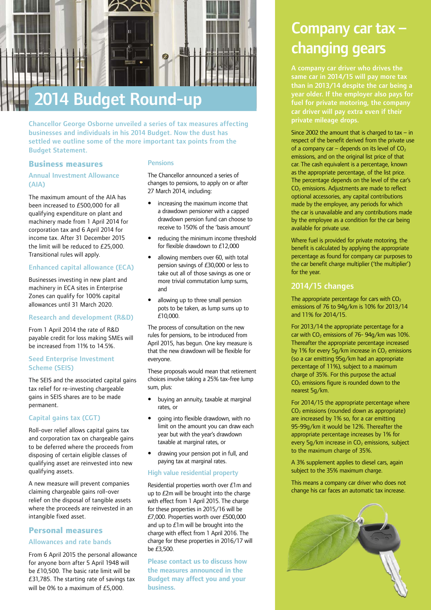

Chancellor George Osborne unveiled a series of tax measures affecting businesses and individuals in his 2014 Budget. Now the dust has settled we outline some of the more important tax points from the Budget Statement.

#### **Business measures**

#### Annual Investment Allowance (AIA)

The maximum amount of the AIA has been increased to £500,000 for all qualifying expenditure on plant and machinery made from 1 April 2014 for corporation tax and 6 April 2014 for income tax. After 31 December 2015 the limit will be reduced to £25,000. Transitional rules will apply.

#### Enhanced capital allowance (ECA)

Businesses investing in new plant and machinery in ECA sites in Enterprise Zones can qualify for 100% capital allowances until 31 March 2020.

#### Research and development (R&D)

From 1 April 2014 the rate of R&D payable credit for loss making SMEs will be increased from 11% to 14.5%.

#### Seed Enterprise Investment Scheme (SEIS)

The SEIS and the associated capital gains tax relief for re-investing chargeable gains in SEIS shares are to be made permanent.

#### Capital gains tax (CGT)

Roll-over relief allows capital gains tax and corporation tax on chargeable gains to be deferred where the proceeds from disposing of certain eligible classes of qualifying asset are reinvested into new qualifying assets.

A new measure will prevent companies claiming chargeable gains roll-over relief on the disposal of tangible assets where the proceeds are reinvested in an intangible fixed asset.

## **Personal measures** Allowances and rate bands

From 6 April 2015 the personal allowance for anyone born after 5 April 1948 will be £10,500. The basic rate limit will be £31,785. The starting rate of savings tax will be 0% to a maximum of £5,000.

#### Pensions

The Chancellor announced a series of changes to pensions, to apply on or after 27 March 2014, including:

- increasing the maximum income that a drawdown pensioner with a capped drawdown pension fund can choose to receive to 150% of the 'basis amount'
- reducing the minimum income threshold for flexible drawdown to £12,000
- allowing members over 60, with total pension savings of £30,000 or less to take out all of those savings as one or more trivial commutation lump sums, and
- allowing up to three small pension pots to be taken, as lump sums up to £10,000.

The process of consultation on the new rules for pensions, to be introduced from April 2015, has begun. One key measure is that the new drawdown will be flexible for everyone.

These proposals would mean that retirement choices involve taking a 25% tax-free lump sum, plus:

- buying an annuity, taxable at marginal rates, or
- going into flexible drawdown, with no limit on the amount you can draw each year but with the year's drawdown taxable at marginal rates, or
- drawing your pension pot in full, and paying tax at marginal rates.

#### High value residential property

Residential properties worth over £1m and up to £2m will be brought into the charge with effect from 1 April 2015. The charge for these properties in 2015/16 will be £7,000. Properties worth over £500,000 and up to £1m will be brought into the charge with effect from 1 April 2016. The charge for these properties in 2016/17 will be £3,500.

**Please contact us to discuss how the measures announced in the Budget may affect you and your business.**

## Company car tax – changing gears

same car in 2014/15 will pay more tax than in 2013/14 despite the car being a year older. If the employer also pays for fuel for private motoring, the company car driver will pay extra even if their private mileage drops.

Since 2002 the amount that is charged to  $tax - in$ respect of the benefit derived from the private use of a company car – depends on its level of  $CO<sub>2</sub>$ emissions, and on the original list price of that car. The cash equivalent is a percentage, known as the appropriate percentage, of the list price. The percentage depends on the level of the car's  $CO<sub>2</sub>$  emissions. Adjustments are made to reflect optional accessories, any capital contributions made by the employee, any periods for which the car is unavailable and any contributions made by the employee as a condition for the car being available for private use.

Where fuel is provided for private motoring, the benefit is calculated by applying the appropriate percentage as found for company car purposes to the car benefit charge multiplier ('the multiplier') for the year.

### 2014/15 changes

The appropriate percentage for cars with  $CO<sub>2</sub>$ emissions of 76 to 94g/km is 10% for 2013/14 and 11% for 2014/15.

For 2013/14 the appropriate percentage for a car with  $CO<sub>2</sub>$  emissions of 76- 94q/km was 10%. Thereafter the appropriate percentage increased by 1% for every 5g/km increase in  $CO<sub>2</sub>$  emissions (so a car emitting 95g/km had an appropriate percentage of 11%), subject to a maximum charge of 35%. For this purpose the actual  $CO<sub>2</sub>$  emissions figure is rounded down to the nearest 5g/km.

For 2014/15 the appropriate percentage where  $CO<sub>2</sub>$  emissions (rounded down as appropriate) are increased by 1% so, for a car emitting 95-99g/km it would be 12%. Thereafter the appropriate percentage increases by 1% for every  $5q/km$  increase in  $CO<sub>2</sub>$  emissions, subject to the maximum charge of 35%.

A 3% supplement applies to diesel cars, again subject to the 35% maximum charge.

This means a company car driver who does not change his car faces an automatic tax increase.

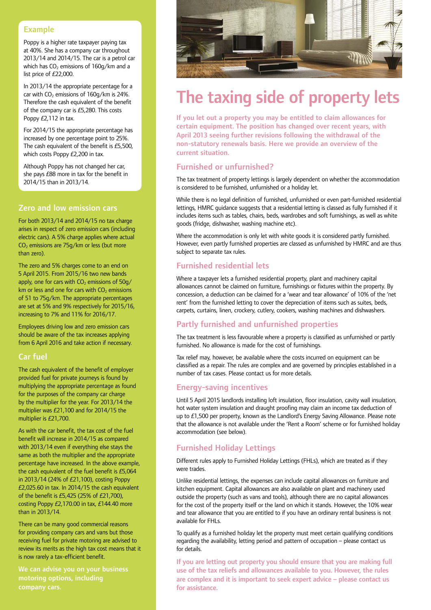### Example

Poppy is a higher rate taxpayer paying tax at 40%. She has a company car throughout 2013/14 and 2014/15. The car is a petrol car which has  $CO<sub>2</sub>$  emissions of  $160q/km$  and a list price of £22,000.

In 2013/14 the appropriate percentage for a car with  $CO<sub>2</sub>$  emissions of 160q/km is 24%. Therefore the cash equivalent of the benefit of the company car is £5,280. This costs Poppy £2,112 in tax.

For 2014/15 the appropriate percentage has increased by one percentage point to 25%. The cash equivalent of the benefit is £5,500, which costs Poppy £2,200 in tax.

Although Poppy has not changed her car, she pays £88 more in tax for the benefit in 2014/15 than in 2013/14.

## Zero and low emission cars

For both 2013/14 and 2014/15 no tax charge arises in respect of zero emission cars (including electric cars). A 5% charge applies where actual  $CO<sub>2</sub>$  emissions are 75q/km or less (but more than zero).

The zero and 5% charges come to an end on 5 April 2015. From 2015/16 two new bands apply, one for cars with  $CO<sub>2</sub>$  emissions of  $50q/$ km or less and one for cars with  $CO<sub>2</sub>$  emissions of 51 to 75g/km. The appropriate percentages are set at 5% and 9% respectively for 2015/16, increasing to 7% and 11% for 2016/17.

Employees driving low and zero emission cars should be aware of the tax increases applying from 6 April 2016 and take action if necessary.

#### Car fuel

The cash equivalent of the benefit of employer provided fuel for private journeys is found by multiplying the appropriate percentage as found for the purposes of the company car charge by the multiplier for the year. For 2013/14 the multiplier was £21,100 and for 2014/15 the multiplier is £21,700.

As with the car benefit, the tax cost of the fuel benefit will increase in 2014/15 as compared with 2013/14 even if everything else stays the same as both the multiplier and the appropriate percentage have increased. In the above example, the cash equivalent of the fuel benefit is £5,064 in 2013/14 (24% of £21,100), costing Poppy £2,025.60 in tax. In 2014/15 the cash equivalent of the benefit is £5,425 (25% of £21,700), costing Poppy £2,170.00 in tax, £144.40 more than in 2013/14.

There can be many good commercial reasons for providing company cars and vans but those receiving fuel for private motoring are advised to review its merits as the high tax cost means that it is now rarely a tax-efficient benefit.

motoring options, including company cars.



## The taxing side of property lets

If you let out a property you may be entitled to claim allowances for certain equipment. The position has changed over recent years, with April 2013 seeing further revisions following the withdrawal of the non-statutory renewals basis. Here we provide an overview of the current situation.

## Furnished or unfurnished?

The tax treatment of property lettings is largely dependent on whether the accommodation is considered to be furnished, unfurnished or a holiday let.

While there is no legal definition of furnished, unfurnished or even part-furnished residential lettings, HMRC guidance suggests that a residential letting is classed as fully furnished if it includes items such as tables, chairs, beds, wardrobes and soft furnishings, as well as white goods (fridge, dishwasher, washing machine etc).

Where the accommodation is only let with white goods it is considered partly furnished. However, even partly furnished properties are classed as unfurnished by HMRC and are thus subject to separate tax rules.

## Furnished residential lets

Where a taxpayer lets a furnished residential property, plant and machinery capital allowances cannot be claimed on furniture, furnishings or fixtures within the property. By concession, a deduction can be claimed for a 'wear and tear allowance' of 10% of the 'net rent' from the furnished letting to cover the depreciation of items such as suites, beds, carpets, curtains, linen, crockery, cutlery, cookers, washing machines and dishwashers.

## Partly furnished and unfurnished properties

The tax treatment is less favourable where a property is classified as unfurnished or partly furnished. No allowance is made for the cost of furnishings.

Tax relief may, however, be available where the costs incurred on equipment can be classified as a repair. The rules are complex and are governed by principles established in a number of tax cases. Please contact us for more details.

### Energy-saving incentives

Until 5 April 2015 landlords installing loft insulation, floor insulation, cavity wall insulation, hot water system insulation and draught proofing may claim an income tax deduction of up to £1,500 per property, known as the Landlord's Energy Saving Allowance. Please note that the allowance is not available under the 'Rent a Room' scheme or for furnished holiday accommodation (see below).

## Furnished Holiday Lettings

Different rules apply to Furnished Holiday Lettings (FHLs), which are treated as if they were trades.

Unlike residential lettings, the expenses can include capital allowances on furniture and kitchen equipment. Capital allowances are also available on plant and machinery used outside the property (such as vans and tools), although there are no capital allowances for the cost of the property itself or the land on which it stands. However, the 10% wear and tear allowance that you are entitled to if you have an ordinary rental business is not available for FHLs.

To qualify as a furnished holiday let the property must meet certain qualifying conditions regarding the availability, letting period and pattern of occupation – please contact us for details.

If you are letting out property you should ensure that you are making full use of the tax reliefs and allowances available to you. However, the rules are complex and it is important to seek expert advice – please contact us for assistance.